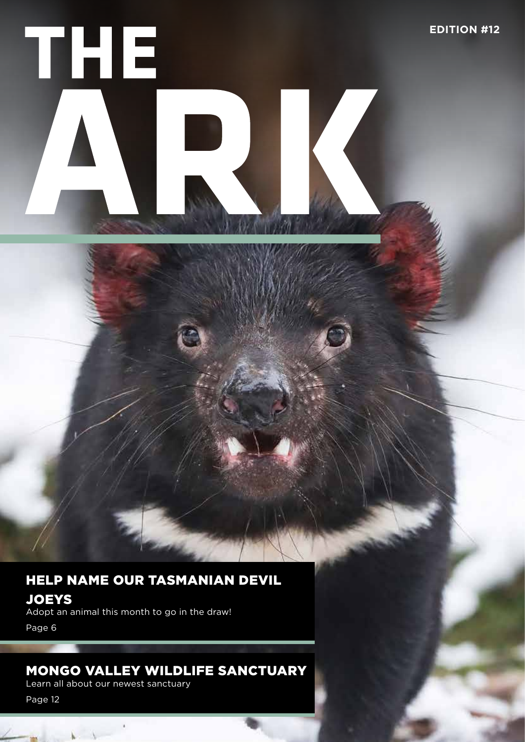

**EDITION #12**

Adopt an animal this month to go in the draw! Page 6

MONGO VALLEY WILDLIFE SANCTUARY

Learn all about our newest sanctuary

TH 3

 $\Delta$ 

Page 12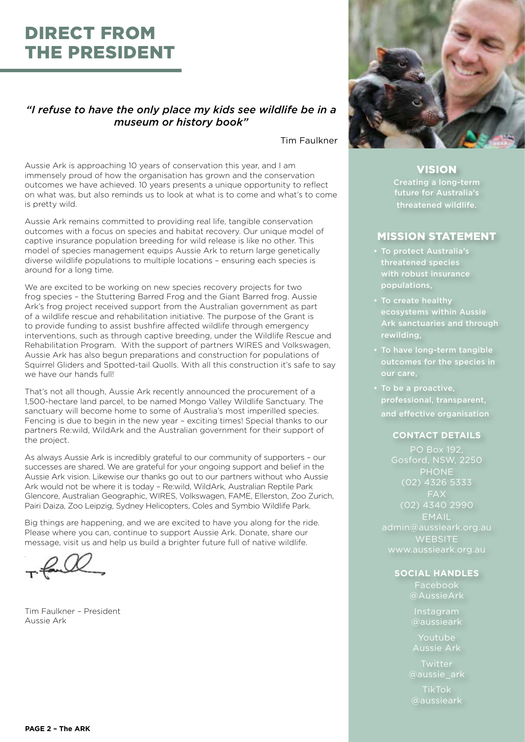# DIRECT FROM THE PRESIDENT

### *"I refuse to have the only place my kids see wildlife be in a museum or history book"*

Tim Faulkner

Aussie Ark is approaching 10 years of conservation this year, and I am immensely proud of how the organisation has grown and the conservation outcomes we have achieved. 10 years presents a unique opportunity to reflect on what was, but also reminds us to look at what is to come and what's to come is pretty wild.

Aussie Ark remains committed to providing real life, tangible conservation outcomes with a focus on species and habitat recovery. Our unique model of captive insurance population breeding for wild release is like no other. This model of species management equips Aussie Ark to return large genetically diverse wildlife populations to multiple locations – ensuring each species is around for a long time.

We are excited to be working on new species recovery projects for two frog species – the Stuttering Barred Frog and the Giant Barred frog. Aussie Ark's frog project received support from the Australian government as part of a wildlife rescue and rehabilitation initiative. The purpose of the Grant is to provide funding to assist bushfire affected wildlife through emergency interventions, such as through captive breeding, under the Wildlife Rescue and Rehabilitation Program. With the support of partners WIRES and Volkswagen, Aussie Ark has also begun preparations and construction for populations of Squirrel Gliders and Spotted-tail Quolls. With all this construction it's safe to say we have our hands full!

That's not all though, Aussie Ark recently announced the procurement of a 1,500-hectare land parcel, to be named Mongo Valley Wildlife Sanctuary. The sanctuary will become home to some of Australia's most imperilled species. Fencing is due to begin in the new year – exciting times! Special thanks to our partners Re:wild, WildArk and the Australian government for their support of the project.

As always Aussie Ark is incredibly grateful to our community of supporters – our successes are shared. We are grateful for your ongoing support and belief in the Aussie Ark vision. Likewise our thanks go out to our partners without who Aussie Ark would not be where it is today – Re:wild, WildArk, Australian Reptile Park Glencore, Australian Geographic, WIRES, Volkswagen, FAME, Ellerston, Zoo Zurich, Pairi Daiza, Zoo Leipzig, Sydney Helicopters, Coles and Symbio Wildlife Park.

Big things are happening, and we are excited to have you along for the ride. Please where you can, continue to support Aussie Ark. Donate, share our message, visit us and help us build a brighter future full of native wildlife.

 $O(Y)$ 

Tim Faulkner – President Aussie Ark



VISION Creating a long-term future for Australia's threatened wildlife.

### MISSION STATEMENT

- To protect Australia's threatened species with robust insurance populations,
- To create healthy ecosystems within Aussie Ark sanctuaries and through rewilding,
- To have long-term tangible outcomes for the species in our care,
- To be a proactive, professional, transparent, and effective organisation

#### **CONTACT DETAILS**

PHONE (02) 4326 5333 EMAIL admin@aussieark.org.au **WEBSITE** www.aussieark.org.au

### **SOCIAL HANDLES**

@AussieArk

**Instagram** @aussieark

Youtube

@aussie\_ark

TikTok @aussieark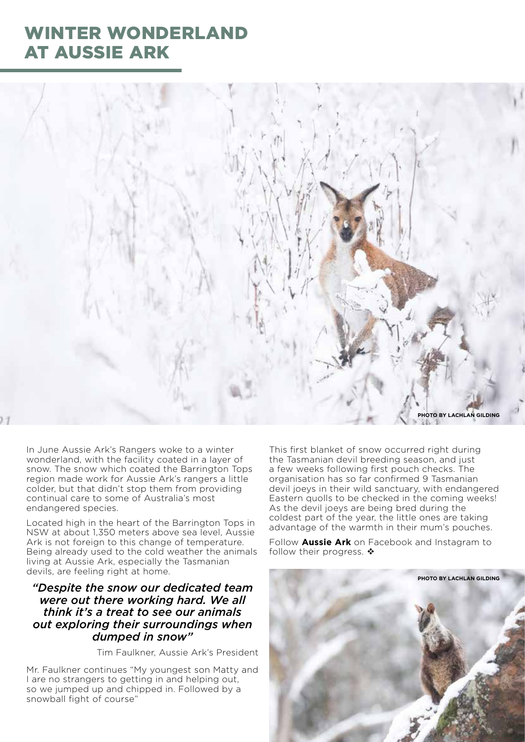### WINTER WONDERLAND AT AUSSIE ARK



In June Aussie Ark's Rangers woke to a winter wonderland, with the facility coated in a layer of snow. The snow which coated the Barrington Tops region made work for Aussie Ark's rangers a little colder, but that didn't stop them from providing continual care to some of Australia's most endangered species.

Located high in the heart of the Barrington Tops in NSW at about 1,350 meters above sea level, Aussie Ark is not foreign to this change of temperature. Being already used to the cold weather the animals living at Aussie Ark, especially the Tasmanian devils, are feeling right at home.

### *"Despite the snow our dedicated team were out there working hard. We all think it's a treat to see our animals out exploring their surroundings when dumped in snow"*

Tim Faulkner, Aussie Ark's President

Mr. Faulkner continues "My youngest son Matty and I are no strangers to getting in and helping out, so we jumped up and chipped in. Followed by a snowball fight of course"

This first blanket of snow occurred right during the Tasmanian devil breeding season, and just a few weeks following first pouch checks. The organisation has so far confirmed 9 Tasmanian devil joeys in their wild sanctuary, with endangered Eastern quolls to be checked in the coming weeks! As the devil joeys are being bred during the coldest part of the year, the little ones are taking advantage of the warmth in their mum's pouches.

Follow **Aussie Ark** on Facebook and Instagram to follow their progress.  $\mathbf{\hat{v}}$ 

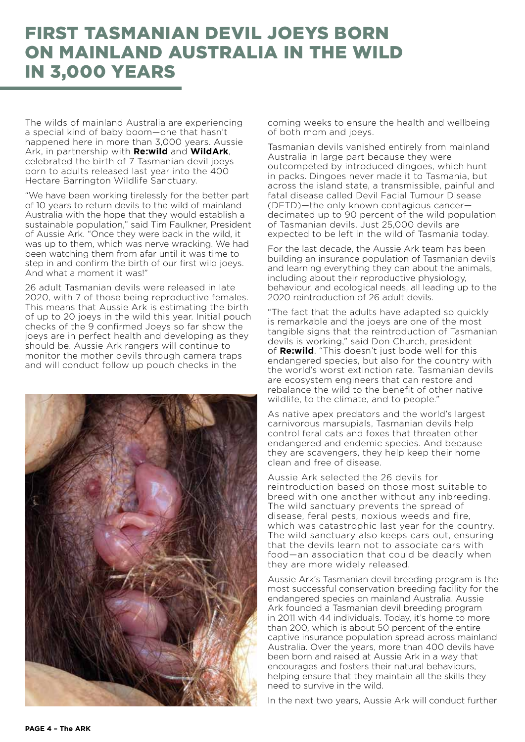# FIRST TASMANIAN DEVIL JOEYS BORN ON MAINLAND AUSTRALIA IN THE WILD IN 3,000 YEARS

The wilds of mainland Australia are experiencing a special kind of baby boom—one that hasn't happened here in more than 3,000 years. Aussie Ark, in partnership with **Re:wild** and **WildArk**, celebrated the birth of 7 Tasmanian devil joeys born to adults released last year into the 400 Hectare Barrington Wildlife Sanctuary.

"We have been working tirelessly for the better part of 10 years to return devils to the wild of mainland Australia with the hope that they would establish a sustainable population," said Tim Faulkner, President of Aussie Ark. "Once they were back in the wild, it was up to them, which was nerve wracking. We had been watching them from afar until it was time to step in and confirm the birth of our first wild joeys. And what a moment it was!"

26 adult Tasmanian devils were released in late 2020, with 7 of those being reproductive females. This means that Aussie Ark is estimating the birth of up to 20 joeys in the wild this year. Initial pouch checks of the 9 confirmed Joeys so far show the joeys are in perfect health and developing as they should be. Aussie Ark rangers will continue to monitor the mother devils through camera traps and will conduct follow up pouch checks in the



coming weeks to ensure the health and wellbeing of both mom and joeys.

Tasmanian devils vanished entirely from mainland Australia in large part because they were outcompeted by introduced dingoes, which hunt in packs. Dingoes never made it to Tasmania, but across the island state, a transmissible, painful and fatal disease called Devil Facial Tumour Disease (DFTD)—the only known contagious cancer decimated up to 90 percent of the wild population of Tasmanian devils. Just 25,000 devils are expected to be left in the wild of Tasmania today.

For the last decade, the Aussie Ark team has been building an insurance population of Tasmanian devils and learning everything they can about the animals, including about their reproductive physiology, behaviour, and ecological needs, all leading up to the 2020 reintroduction of 26 adult devils.

"The fact that the adults have adapted so quickly is remarkable and the joeys are one of the most tangible signs that the reintroduction of Tasmanian devils is working," said Don Church, president of **Re:wild**. "This doesn't just bode well for this endangered species, but also for the country with the world's worst extinction rate. Tasmanian devils are ecosystem engineers that can restore and rebalance the wild to the benefit of other native wildlife, to the climate, and to people."

As native apex predators and the world's largest carnivorous marsupials, Tasmanian devils help control feral cats and foxes that threaten other endangered and endemic species. And because they are scavengers, they help keep their home clean and free of disease.

Aussie Ark selected the 26 devils for reintroduction based on those most suitable to breed with one another without any inbreeding. The wild sanctuary prevents the spread of disease, feral pests, noxious weeds and fire, which was catastrophic last year for the country. The wild sanctuary also keeps cars out, ensuring that the devils learn not to associate cars with food—an association that could be deadly when they are more widely released.

Aussie Ark's Tasmanian devil breeding program is the most successful conservation breeding facility for the endangered species on mainland Australia. Aussie Ark founded a Tasmanian devil breeding program in 2011 with 44 individuals. Today, it's home to more than 200, which is about 50 percent of the entire captive insurance population spread across mainland Australia. Over the years, more than 400 devils have been born and raised at Aussie Ark in a way that encourages and fosters their natural behaviours, helping ensure that they maintain all the skills they need to survive in the wild.

In the next two years, Aussie Ark will conduct further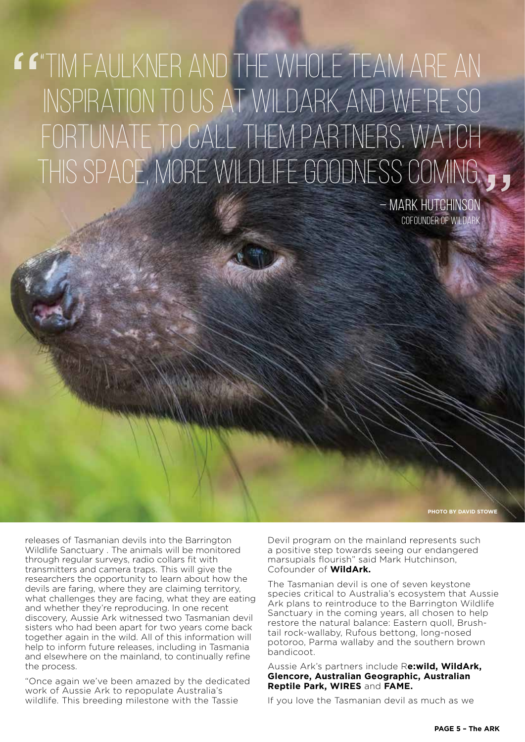# "Tim Faulkner and the whole team are an inspiration to us at WildArk and we're so fortunate to call them partners. Watch THIS SPACE, MORE WILDLIFE GOODNESS COMING. ,

– Mark Hutchinson COFOUNDER OF WILDARK

**PHOTO BY DAVID STOWE**

releases of Tasmanian devils into the Barrington Wildlife Sanctuary . The animals will be monitored through regular surveys, radio collars fit with transmitters and camera traps. This will give the researchers the opportunity to learn about how the devils are faring, where they are claiming territory, what challenges they are facing, what they are eating and whether they're reproducing. In one recent discovery, Aussie Ark witnessed two Tasmanian devil sisters who had been apart for two years come back together again in the wild. All of this information will help to inform future releases, including in Tasmania and elsewhere on the mainland, to continually refine the process.

"Once again we've been amazed by the dedicated work of Aussie Ark to repopulate Australia's wildlife. This breeding milestone with the Tassie

Devil program on the mainland represents such a positive step towards seeing our endangered marsupials flourish" said Mark Hutchinson, Cofounder of **WildArk.**

The Tasmanian devil is one of seven keystone species critical to Australia's ecosystem that Aussie Ark plans to reintroduce to the Barrington Wildlife Sanctuary in the coming years, all chosen to help restore the natural balance: Eastern quoll, Brushtail rock-wallaby, Rufous bettong, long-nosed potoroo, Parma wallaby and the southern brown bandicoot.

#### Aussie Ark's partners include R**e:wild, WildArk, Glencore, Australian Geographic, Australian Reptile Park, WIRES** and **FAME.**

If you love the Tasmanian devil as much as we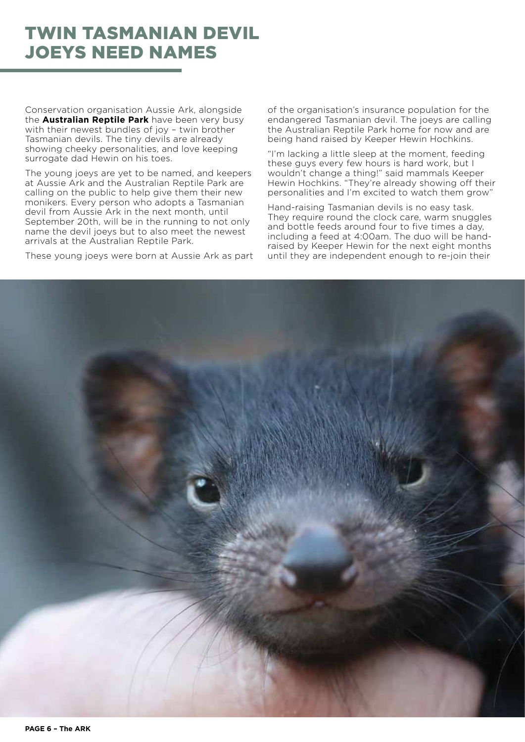# TWIN TASMANIAN DEVIL JOEYS NEED NAMES

Conservation organisation Aussie Ark, alongside the **Australian Reptile Park** have been very busy with their newest bundles of joy – twin brother Tasmanian devils. The tiny devils are already showing cheeky personalities, and love keeping surrogate dad Hewin on his toes.

The young joeys are yet to be named, and keepers at Aussie Ark and the Australian Reptile Park are calling on the public to help give them their new monikers. Every person who adopts a Tasmanian devil from Aussie Ark in the next month, until September 20th, will be in the running to not only name the devil joeys but to also meet the newest arrivals at the Australian Reptile Park.

These young joeys were born at Aussie Ark as part

of the organisation's insurance population for the endangered Tasmanian devil. The joeys are calling the Australian Reptile Park home for now and are being hand raised by Keeper Hewin Hochkins.

"I'm lacking a little sleep at the moment, feeding these guys every few hours is hard work, but I wouldn't change a thing!" said mammals Keeper Hewin Hochkins. "They're already showing off their personalities and I'm excited to watch them grow"

Hand-raising Tasmanian devils is no easy task. They require round the clock care, warm snuggles and bottle feeds around four to five times a day, including a feed at 4:00am. The duo will be handraised by Keeper Hewin for the next eight months until they are independent enough to re-join their

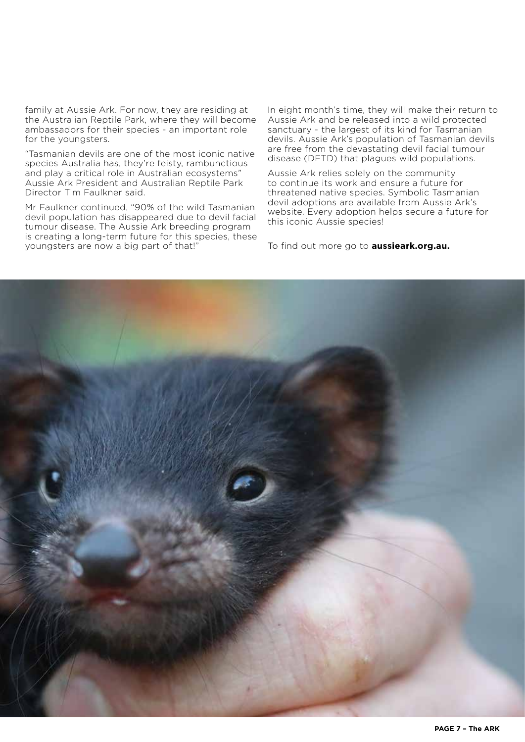family at Aussie Ark. For now, they are residing at the Australian Reptile Park, where they will become ambassadors for their species - an important role for the youngsters.

"Tasmanian devils are one of the most iconic native species Australia has, they're feisty, rambunctious and play a critical role in Australian ecosystems" Aussie Ark President and Australian Reptile Park Director Tim Faulkner said.

Mr Faulkner continued, "90% of the wild Tasmanian devil population has disappeared due to devil facial tumour disease. The Aussie Ark breeding program is creating a long-term future for this species, these youngsters are now a big part of that!"

In eight month's time, they will make their return to Aussie Ark and be released into a wild protected sanctuary - the largest of its kind for Tasmanian devils. Aussie Ark's population of Tasmanian devils are free from the devastating devil facial tumour disease (DFTD) that plagues wild populations.

Aussie Ark relies solely on the community to continue its work and ensure a future for threatened native species. Symbolic Tasmanian devil adoptions are available from Aussie Ark's website. Every adoption helps secure a future for this iconic Aussie species!

To find out more go to **aussieark.org.au.**

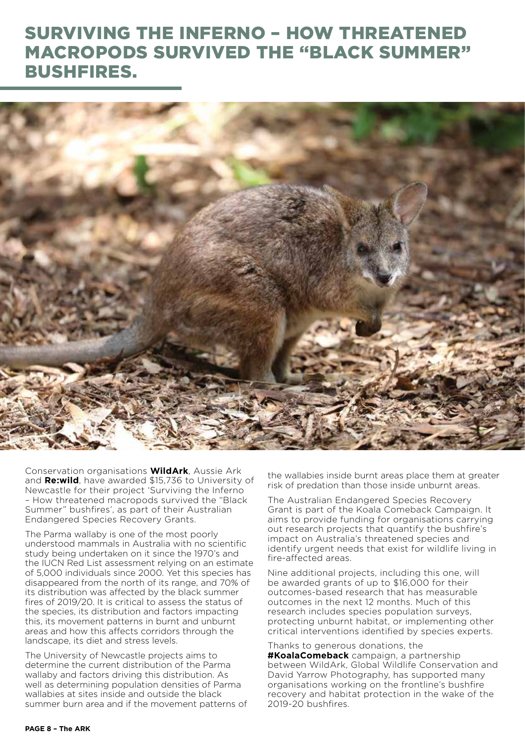# SURVIVING THE INFERNO – HOW THREATENED MACROPODS SURVIVED THE "BLACK SUMMER" BUSHFIRES.



Conservation organisations **WildArk**, Aussie Ark and **Re:wild**, have awarded \$15,736 to University of Newcastle for their project 'Surviving the Inferno – How threatened macropods survived the "Black Summer" bushfires', as part of their Australian Endangered Species Recovery Grants.

The Parma wallaby is one of the most poorly understood mammals in Australia with no scientific study being undertaken on it since the 1970's and the IUCN Red List assessment relying on an estimate of 5,000 individuals since 2000. Yet this species has disappeared from the north of its range, and 70% of its distribution was affected by the black summer fires of 2019/20. It is critical to assess the status of the species, its distribution and factors impacting this, its movement patterns in burnt and unburnt areas and how this affects corridors through the landscape, its diet and stress levels.

The University of Newcastle projects aims to determine the current distribution of the Parma wallaby and factors driving this distribution. As well as determining population densities of Parma wallabies at sites inside and outside the black summer burn area and if the movement patterns of the wallabies inside burnt areas place them at greater risk of predation than those inside unburnt areas.

The Australian Endangered Species Recovery Grant is part of the Koala Comeback Campaign. It aims to provide funding for organisations carrying out research projects that quantify the bushfire's impact on Australia's threatened species and identify urgent needs that exist for wildlife living in fire-affected areas.

Nine additional projects, including this one, will be awarded grants of up to \$16,000 for their outcomes-based research that has measurable outcomes in the next 12 months. Much of this research includes species population surveys, protecting unburnt habitat, or implementing other critical interventions identified by species experts.

Thanks to generous donations, the **#KoalaComeback** campaign, a partnership between WildArk, Global Wildlife Conservation and David Yarrow Photography, has supported many organisations working on the frontline's bushfire recovery and habitat protection in the wake of the 2019-20 bushfires.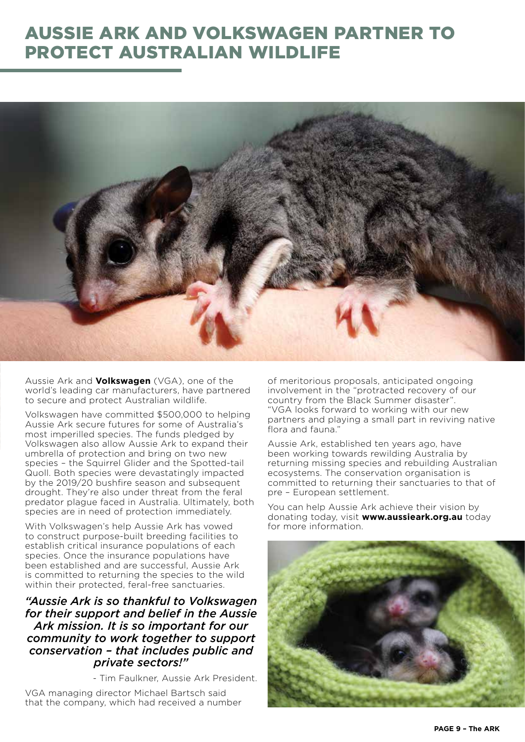# AUSSIE ARK AND VOLKSWAGEN PARTNER TO PROTECT AUSTRALIAN WILDLIFE



Aussie Ark and **Volkswagen** (VGA), one of the world's leading car manufacturers, have partnered to secure and protect Australian wildlife.

Volkswagen have committed \$500,000 to helping Aussie Ark secure futures for some of Australia's most imperilled species. The funds pledged by Volkswagen also allow Aussie Ark to expand their umbrella of protection and bring on two new species – the Squirrel Glider and the Spotted-tail Quoll. Both species were devastatingly impacted by the 2019/20 bushfire season and subsequent drought. They're also under threat from the feral predator plague faced in Australia. Ultimately, both species are in need of protection immediately.

With Volkswagen's help Aussie Ark has vowed to construct purpose-built breeding facilities to establish critical insurance populations of each species. Once the insurance populations have been established and are successful, Aussie Ark is committed to returning the species to the wild within their protected, feral-free sanctuaries.

*"Aussie Ark is so thankful to Volkswagen for their support and belief in the Aussie Ark mission. It is so important for our community to work together to support conservation – that includes public and private sectors!"* 

- Tim Faulkner, Aussie Ark President.

VGA managing director Michael Bartsch said that the company, which had received a number of meritorious proposals, anticipated ongoing involvement in the "protracted recovery of our country from the Black Summer disaster". "VGA looks forward to working with our new

partners and playing a small part in reviving native flora and fauna."

Aussie Ark, established ten years ago, have been working towards rewilding Australia by returning missing species and rebuilding Australian ecosystems. The conservation organisation is committed to returning their sanctuaries to that of pre – European settlement.

You can help Aussie Ark achieve their vision by donating today, visit **www.aussieark.org.au** today for more information.

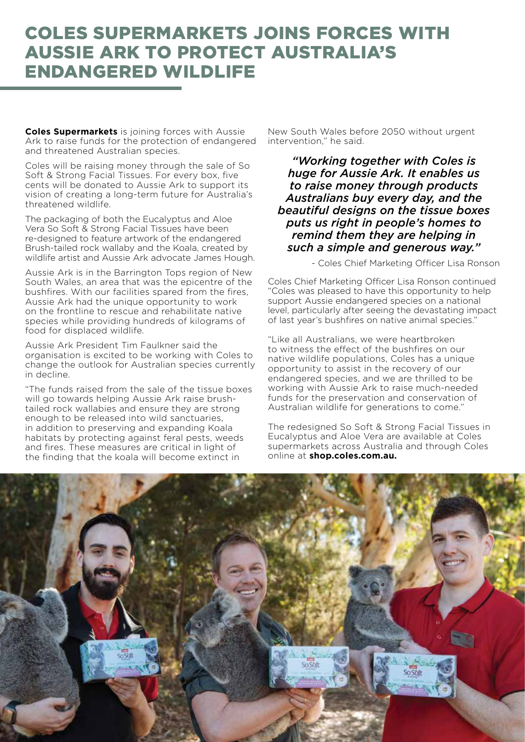### COLES SUPERMARKETS JOINS FORCES WITH AUSSIE ARK TO PROTECT AUSTRALIA'S ENDANGERED WILDLIFE

**Coles Supermarkets** is joining forces with Aussie Ark to raise funds for the protection of endangered and threatened Australian species.

Coles will be raising money through the sale of So Soft & Strong Facial Tissues. For every box, five cents will be donated to Aussie Ark to support its vision of creating a long-term future for Australia's threatened wildlife.

The packaging of both the Eucalyptus and Aloe Vera So Soft & Strong Facial Tissues have been re-designed to feature artwork of the endangered Brush-tailed rock wallaby and the Koala, created by wildlife artist and Aussie Ark advocate James Hough.

Aussie Ark is in the Barrington Tops region of New South Wales, an area that was the epicentre of the bushfires. With our facilities spared from the fires, Aussie Ark had the unique opportunity to work on the frontline to rescue and rehabilitate native species while providing hundreds of kilograms of food for displaced wildlife.

Aussie Ark President Tim Faulkner said the organisation is excited to be working with Coles to change the outlook for Australian species currently in decline.

"The funds raised from the sale of the tissue boxes will go towards helping Aussie Ark raise brushtailed rock wallabies and ensure they are strong enough to be released into wild sanctuaries, in addition to preserving and expanding Koala habitats by protecting against feral pests, weeds and fires. These measures are critical in light of the finding that the koala will become extinct in

New South Wales before 2050 without urgent intervention," he said.

*"Working together with Coles is huge for Aussie Ark. It enables us to raise money through products Australians buy every day, and the beautiful designs on the tissue boxes puts us right in people's homes to remind them they are helping in such a simple and generous way."* 

- Coles Chief Marketing Officer Lisa Ronson

Coles Chief Marketing Officer Lisa Ronson continued "Coles was pleased to have this opportunity to help support Aussie endangered species on a national level, particularly after seeing the devastating impact of last year's bushfires on native animal species."

"Like all Australians, we were heartbroken to witness the effect of the bushfires on our native wildlife populations, Coles has a unique opportunity to assist in the recovery of our endangered species, and we are thrilled to be working with Aussie Ark to raise much-needed funds for the preservation and conservation of Australian wildlife for generations to come.'

The redesigned So Soft & Strong Facial Tissues in Eucalyptus and Aloe Vera are available at Coles supermarkets across Australia and through Coles online at **shop.coles.com.au.** 

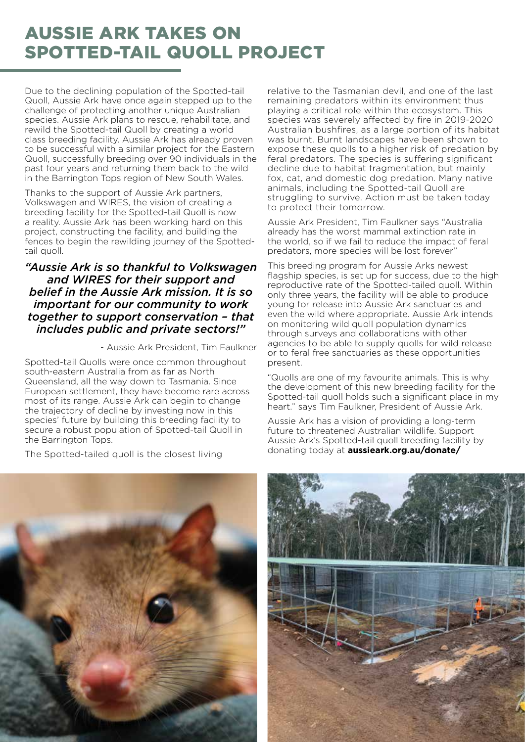# AUSSIE ARK TAKES ON SPOTTED-TAIL QUOLL PROJECT

Due to the declining population of the Spotted-tail Quoll, Aussie Ark have once again stepped up to the challenge of protecting another unique Australian species. Aussie Ark plans to rescue, rehabilitate, and rewild the Spotted-tail Quoll by creating a world class breeding facility. Aussie Ark has already proven to be successful with a similar project for the Eastern Quoll, successfully breeding over 90 individuals in the past four years and returning them back to the wild in the Barrington Tops region of New South Wales.

Thanks to the support of Aussie Ark partners, Volkswagen and WIRES, the vision of creating a breeding facility for the Spotted-tail Quoll is now a reality. Aussie Ark has been working hard on this project, constructing the facility, and building the fences to begin the rewilding journey of the Spottedtail quoll.

### *"Aussie Ark is so thankful to Volkswagen and WIRES for their support and belief in the Aussie Ark mission. It is so important for our community to work together to support conservation – that includes public and private sectors!"*

- Aussie Ark President, Tim Faulkner

Spotted-tail Quolls were once common throughout south-eastern Australia from as far as North Queensland, all the way down to Tasmania. Since European settlement, they have become rare across most of its range. Aussie Ark can begin to change the trajectory of decline by investing now in this species' future by building this breeding facility to secure a robust population of Spotted-tail Quoll in the Barrington Tops.

The Spotted-tailed quoll is the closest living

relative to the Tasmanian devil, and one of the last remaining predators within its environment thus playing a critical role within the ecosystem. This species was severely affected by fire in 2019-2020 Australian bushfires, as a large portion of its habitat was burnt. Burnt landscapes have been shown to expose these quolls to a higher risk of predation by feral predators. The species is suffering significant decline due to habitat fragmentation, but mainly fox, cat, and domestic dog predation. Many native animals, including the Spotted-tail Quoll are struggling to survive. Action must be taken today to protect their tomorrow.

Aussie Ark President, Tim Faulkner says "Australia already has the worst mammal extinction rate in the world, so if we fail to reduce the impact of feral predators, more species will be lost forever"

This breeding program for Aussie Arks newest flagship species, is set up for success, due to the high reproductive rate of the Spotted-tailed quoll. Within only three years, the facility will be able to produce young for release into Aussie Ark sanctuaries and even the wild where appropriate. Aussie Ark intends on monitoring wild quoll population dynamics through surveys and collaborations with other agencies to be able to supply quolls for wild release or to feral free sanctuaries as these opportunities present.

"Quolls are one of my favourite animals. This is why the development of this new breeding facility for the Spotted-tail quoll holds such a significant place in my heart." says Tim Faulkner, President of Aussie Ark.

Aussie Ark has a vision of providing a long-term future to threatened Australian wildlife. Support Aussie Ark's Spotted-tail quoll breeding facility by donating today at **aussieark.org.au/donate/**



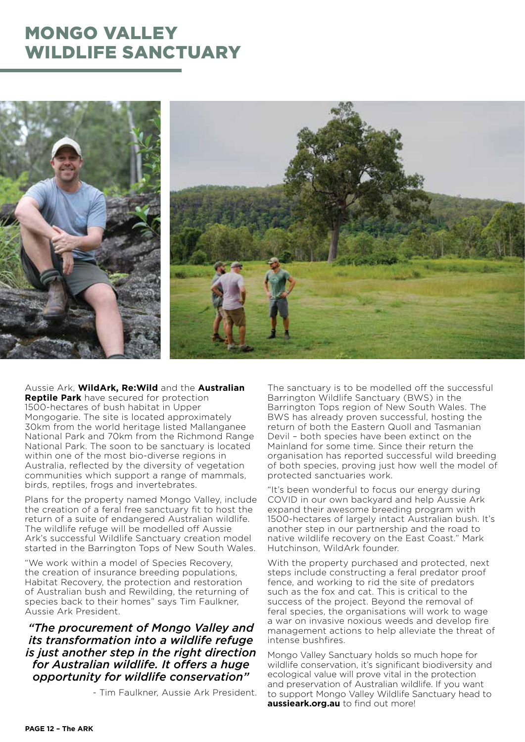# MONGO VALLEY WILDLIFE SANCTUARY



Aussie Ark, **WildArk, Re:Wild** and the **Australian Reptile Park** have secured for protection 1500-hectares of bush habitat in Upper Mongogarie. The site is located approximately 30km from the world heritage listed Mallanganee National Park and 70km from the Richmond Range National Park. The soon to be sanctuary is located within one of the most bio-diverse regions in Australia, reflected by the diversity of vegetation communities which support a range of mammals, birds, reptiles, frogs and invertebrates.

Plans for the property named Mongo Valley, include the creation of a feral free sanctuary fit to host the return of a suite of endangered Australian wildlife. The wildlife refuge will be modelled off Aussie Ark's successful Wildlife Sanctuary creation model started in the Barrington Tops of New South Wales.

"We work within a model of Species Recovery, the creation of insurance breeding populations, Habitat Recovery, the protection and restoration of Australian bush and Rewilding, the returning of species back to their homes" says Tim Faulkner, Aussie Ark President.

*"The procurement of Mongo Valley and its transformation into a wildlife refuge is just another step in the right direction for Australian wildlife. It offers a huge opportunity for wildlife conservation"* 

- Tim Faulkner, Aussie Ark President.

The sanctuary is to be modelled off the successful Barrington Wildlife Sanctuary (BWS) in the Barrington Tops region of New South Wales. The BWS has already proven successful, hosting the return of both the Eastern Quoll and Tasmanian Devil – both species have been extinct on the Mainland for some time. Since their return the organisation has reported successful wild breeding of both species, proving just how well the model of protected sanctuaries work.

"It's been wonderful to focus our energy during COVID in our own backyard and help Aussie Ark expand their awesome breeding program with 1500-hectares of largely intact Australian bush. It's another step in our partnership and the road to native wildlife recovery on the East Coast." Mark Hutchinson, WildArk founder.

With the property purchased and protected, next steps include constructing a feral predator proof fence, and working to rid the site of predators such as the fox and cat. This is critical to the success of the project. Beyond the removal of feral species, the organisations will work to wage a war on invasive noxious weeds and develop fire management actions to help alleviate the threat of intense bushfires.

Mongo Valley Sanctuary holds so much hope for wildlife conservation, it's significant biodiversity and ecological value will prove vital in the protection and preservation of Australian wildlife. If you want to support Mongo Valley Wildlife Sanctuary head to **aussieark.org.au** to find out more!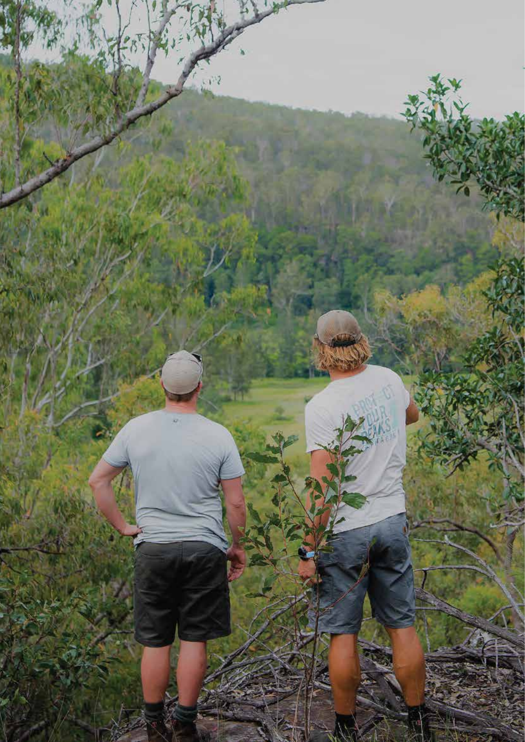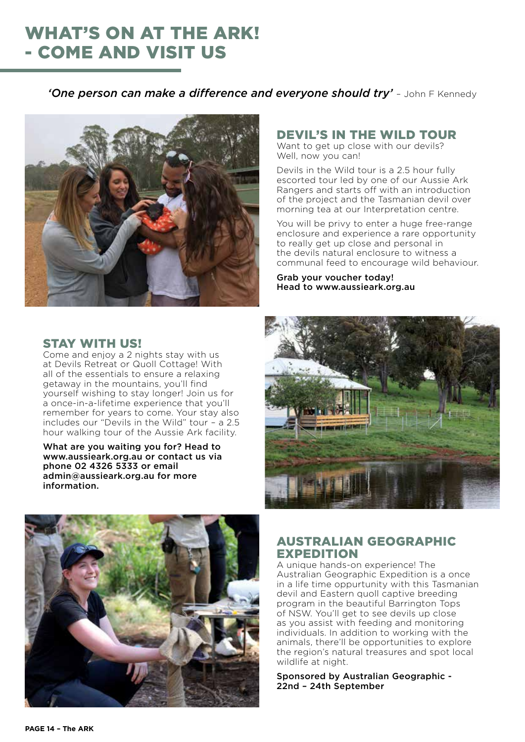### WHAT'S ON AT THE ARK! - COME AND VISIT US

*'One person can make a difference and everyone should try'* – John F Kennedy



### DEVIL'S IN THE WILD TOUR

Want to get up close with our devils? Well, now you can!

Devils in the Wild tour is a 2.5 hour fully escorted tour led by one of our Aussie Ark Rangers and starts off with an introduction of the project and the Tasmanian devil over morning tea at our Interpretation centre.

You will be privy to enter a huge free-range enclosure and experience a rare opportunity to really get up close and personal in the devils natural enclosure to witness a communal feed to encourage wild behaviour.

Grab your voucher today! Head to www.aussieark.org.au



### STAY WITH US!

Come and enjoy a 2 nights stay with us at Devils Retreat or Quoll Cottage! With all of the essentials to ensure a relaxing getaway in the mountains, you'll find yourself wishing to stay longer! Join us for a once-in-a-lifetime experience that you'll remember for years to come. Your stay also includes our "Devils in the Wild" tour – a 2.5 hour walking tour of the Aussie Ark facility.

What are you waiting you for? Head to www.aussieark.org.au or contact us via phone 02 4326 5333 or email admin@aussieark.org.au for more information.



### AUSTRALIAN GEOGRAPHIC EXPEDITION

A unique hands-on experience! The Australian Geographic Expedition is a once in a life time oppurtunity with this Tasmanian devil and Eastern quoll captive breeding program in the beautiful Barrington Tops of NSW. You'll get to see devils up close as you assist with feeding and monitoring individuals. In addition to working with the animals, there'll be opportunities to explore the region's natural treasures and spot local wildlife at night.

Sponsored by Australian Geographic - 22nd – 24th September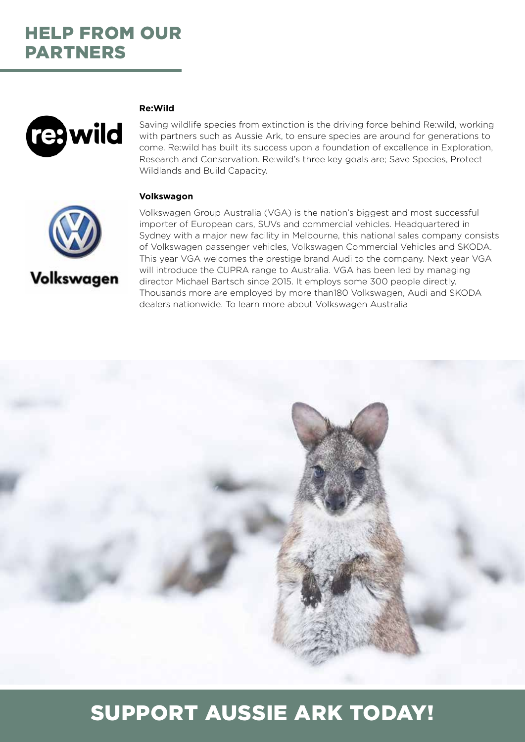

#### **Re:Wild**

Saving wildlife species from extinction is the driving force behind Re:wild, working with partners such as Aussie Ark, to ensure species are around for generations to come. Re:wild has built its success upon a foundation of excellence in Exploration, Research and Conservation. Re:wild's three key goals are; Save Species, Protect Wildlands and Build Capacity.

#### **Volkswagon**



Volkswagen

Volkswagen Group Australia (VGA) is the nation's biggest and most successful importer of European cars, SUVs and commercial vehicles. Headquartered in Sydney with a major new facility in Melbourne, this national sales company consists of Volkswagen passenger vehicles, Volkswagen Commercial Vehicles and SKODA. This year VGA welcomes the prestige brand Audi to the company. Next year VGA will introduce the CUPRA range to Australia. VGA has been led by managing director Michael Bartsch since 2015. It employs some 300 people directly. Thousands more are employed by more than180 Volkswagen, Audi and SKODA dealers nationwide. To learn more about Volkswagen Australia



# SUPPORT AUSSIE ARK TODAY!